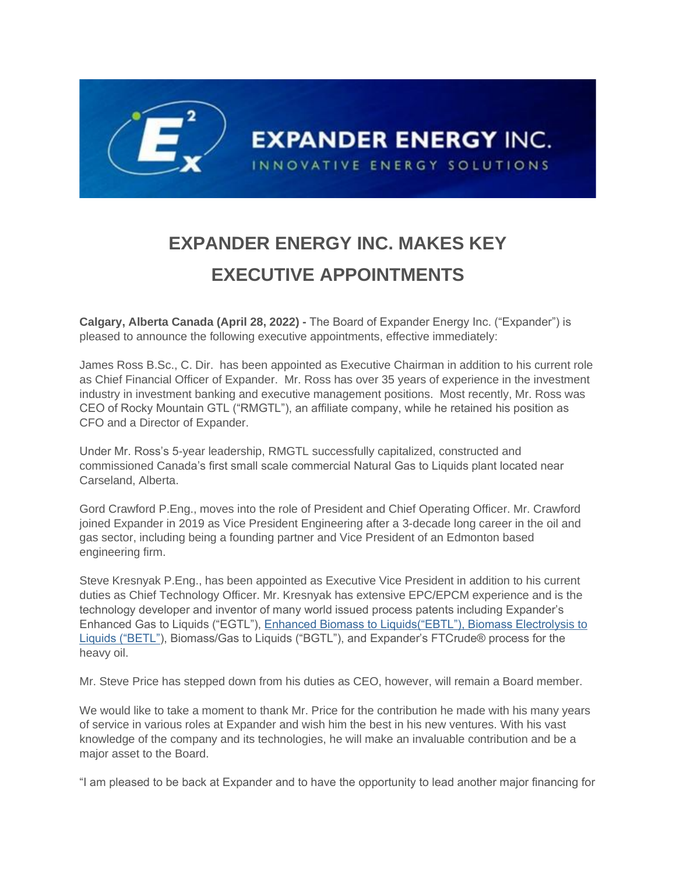

## **EXPANDER ENERGY INC. MAKES KEY EXECUTIVE APPOINTMENTS**

**Calgary, Alberta Canada (April 28, 2022) -** The Board of Expander Energy Inc. ("Expander") is pleased to announce the following executive appointments, effective immediately:

James Ross B.Sc., C. Dir. has been appointed as Executive Chairman in addition to his current role as Chief Financial Officer of Expander. Mr. Ross has over 35 years of experience in the investment industry in investment banking and executive management positions. Most recently, Mr. Ross was CEO of Rocky Mountain GTL ("RMGTL"), an affiliate company, while he retained his position as CFO and a Director of Expander.

Under Mr. Ross's 5-year leadership, RMGTL successfully capitalized, constructed and commissioned Canada's first small scale commercial Natural Gas to Liquids plant located near Carseland, Alberta.

Gord Crawford P.Eng., moves into the role of President and Chief Operating Officer. Mr. Crawford joined Expander in 2019 as Vice President Engineering after a 3-decade long career in the oil and gas sector, including being a founding partner and Vice President of an Edmonton based engineering firm.

Steve Kresnyak P.Eng., has been appointed as Executive Vice President in addition to his current duties as Chief Technology Officer. Mr. Kresnyak has extensive EPC/EPCM experience and is the technology developer and inventor of many world issued process patents including Expander's Enhanced Gas to Liquids ("EGTL"), Enhanced Biomass to Liquids("EBTL"), Biomass Electrolysis to Liquids ("BETL"), Biomass/Gas to Liquids ("BGTL"), and Expander's FTCrude® process for the heavy oil.

Mr. Steve Price has stepped down from his duties as CEO, however, will remain a Board member.

We would like to take a moment to thank Mr. Price for the contribution he made with his many years of service in various roles at Expander and wish him the best in his new ventures. With his vast knowledge of the company and its technologies, he will make an invaluable contribution and be a major asset to the Board.

"I am pleased to be back at Expander and to have the opportunity to lead another major financing for